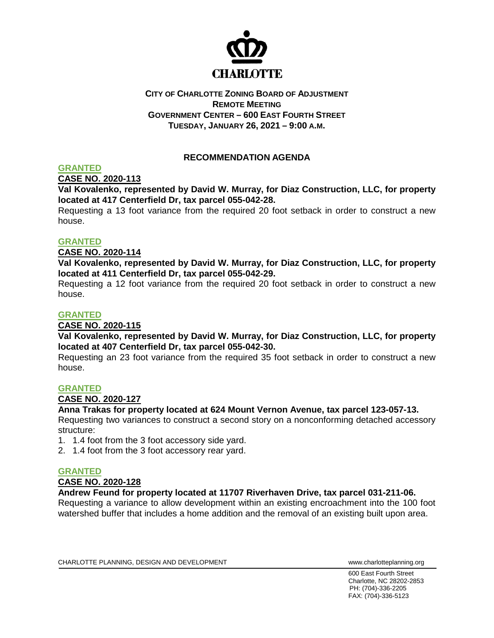

## **CITY OF CHARLOTTE ZONING BOARD OF ADJUSTMENT REMOTE MEETING GOVERNMENT CENTER – 600 EAST FOURTH STREET TUESDAY, JANUARY 26, 2021 – 9:00 A.M.**

# **RECOMMENDATION AGENDA**

## **GRANTED**

**CASE NO. 2020-113**

**Val Kovalenko, represented by David W. Murray, for Diaz Construction, LLC, for property located at 417 Centerfield Dr, tax parcel 055-042-28.**

Requesting a 13 foot variance from the required 20 foot setback in order to construct a new house.

### **GRANTED**

### **CASE NO. 2020-114**

**Val Kovalenko, represented by David W. Murray, for Diaz Construction, LLC, for property located at 411 Centerfield Dr, tax parcel 055-042-29.**

Requesting a 12 foot variance from the required 20 foot setback in order to construct a new house.

### **GRANTED**

### **CASE NO. 2020-115**

**Val Kovalenko, represented by David W. Murray, for Diaz Construction, LLC, for property located at 407 Centerfield Dr, tax parcel 055-042-30.**

Requesting an 23 foot variance from the required 35 foot setback in order to construct a new house.

### **GRANTED**

## **CASE NO. 2020-127**

### **Anna Trakas for property located at 624 Mount Vernon Avenue, tax parcel 123-057-13.**

Requesting two variances to construct a second story on a nonconforming detached accessory structure:

- 1. 1.4 foot from the 3 foot accessory side yard.
- 2. 1.4 foot from the 3 foot accessory rear yard.

## **GRANTED**

### **CASE NO. 2020-128**

**Andrew Feund for property located at 11707 Riverhaven Drive, tax parcel 031-211-06.**

Requesting a variance to allow development within an existing encroachment into the 100 foot watershed buffer that includes a home addition and the removal of an existing built upon area.

CHARLOTTE PLANNING, DESIGN AND DEVELOPMENT WWW.Charlotteplanning.org

600 East Fourth Street Charlotte, NC 28202-2853 PH: (704)-336-2205 FAX: (704)-336-5123